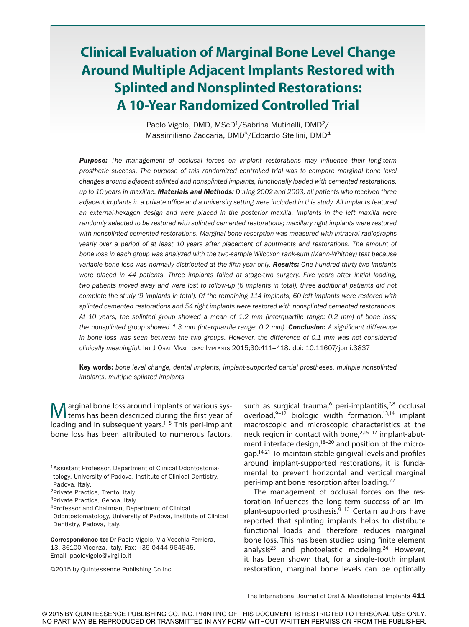# **Clinical Evaluation of Marginal Bone Level Change Around Multiple Adjacent Implants Restored with Splinted and Nonsplinted Restorations: A 10-Year Randomized Controlled Trial**

Paolo Vigolo, DMD, MScD<sup>1</sup>/Sabrina Mutinelli, DMD<sup>2</sup>/ Massimiliano Zaccaria, DMD<sup>3</sup>/Edoardo Stellini, DMD<sup>4</sup>

*Purpose: The management of occlusal forces on implant restorations may influence their long-term prosthetic success. The purpose of this randomized controlled trial was to compare marginal bone level changes around adjacent splinted and nonsplinted implants, functionally loaded with cemented restorations, up to 10 years in maxillae. Materials and Methods: During 2002 and 2003, all patients who received three*  adjacent implants in a private office and a university setting were included in this study. All implants featured an external-hexagon design and were placed in the posterior maxilla. Implants in the left maxilla were *randomly selected to be restored with splinted cemented restorations; maxillary right implants were restored with nonsplinted cemented restorations. Marginal bone resorption was measured with intraoral radiographs yearly over a period of at least 10 years after placement of abutments and restorations. The amount of bone loss in each group was analyzed with the two-sample Wilcoxon rank-sum (Mann-Whitney) test because variable bone loss was normally distributed at the fifth year only. Results: One hundred thirty-two implants were placed in 44 patients. Three implants failed at stage-two surgery. Five years after initial loading, two patients moved away and were lost to follow-up (6 implants in total); three additional patients did not complete the study (9 implants in total). Of the remaining 114 implants, 60 left implants were restored with splinted cemented restorations and 54 right implants were restored with nonsplinted cemented restorations. At 10 years, the splinted group showed a mean of 1.2 mm (interquartile range: 0.2 mm) of bone loss; the nonsplinted group showed 1.3 mm (interquartile range: 0.2 mm). Conclusion: A significant difference in bone loss was seen between the two groups. However, the difference of 0.1 mm was not considered clinically meaningful.* Int J Oral Maxillofac Implants 2015;30:411–418. doi: 10.11607/jomi.3837

Key words: *bone level change, dental implants, implant-supported partial prostheses, multiple nonsplinted implants, multiple splinted implants*

Marginal bone loss around implants of various sys-tems has been described during the first year of loading and in subsequent years.<sup>1-5</sup> This peri-implant bone loss has been attributed to numerous factors,

such as surgical trauma,<sup>6</sup> peri-implantitis, $7,8$  occlusal overload, $9-12$  biologic width formation, $13,14$  implant macroscopic and microscopic characteristics at the neck region in contact with bone,<sup>2,15-17</sup> implant-abutment interface design, $18-20$  and position of the microgap.14,21 To maintain stable gingival levels and profiles around implant-supported restorations, it is fundamental to prevent horizontal and vertical marginal peri-implant bone resorption after loading.22

The management of occlusal forces on the restoration influences the long-term success of an implant-supported prosthesis. $9-12$  Certain authors have reported that splinting implants helps to distribute functional loads and therefore reduces marginal bone loss. This has been studied using finite element analysis<sup>23</sup> and photoelastic modeling.<sup>24</sup> However, it has been shown that, for a single-tooth implant restoration, marginal bone levels can be optimally

<sup>1</sup>Assistant Professor, Department of Clinical Odontostomatology, University of Padova, Institute of Clinical Dentistry, Padova, Italy.

<sup>2</sup>Private Practice, Trento, Italy.

<sup>3</sup>Private Practice, Genoa, Italy.

<sup>4</sup>Professor and Chairman, Department of Clinical

Odontostomatology, University of Padova, Institute of Clinical Dentistry, Padova, Italy.

Correspondence to: Dr Paolo Vigolo, Via Vecchia Ferriera, 13, 36100 Vicenza, Italy. Fax: +39-0444-964545. Email: paolovigolo@virgilio.it

<sup>©2015</sup> by Quintessence Publishing Co Inc.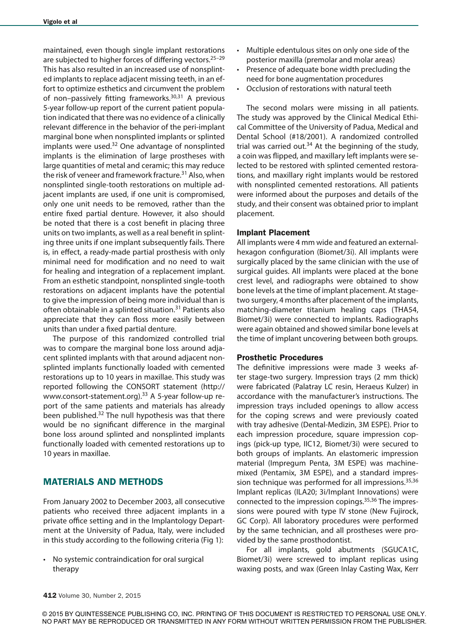maintained, even though single implant restorations are subjected to higher forces of differing vectors.<sup>25-29</sup> This has also resulted in an increased use of nonsplinted implants to replace adjacent missing teeth, in an effort to optimize esthetics and circumvent the problem of non–passively fitting frameworks. $30,31$  A previous 5-year follow-up report of the current patient population indicated that there was no evidence of a clinically relevant difference in the behavior of the peri-implant marginal bone when nonsplinted implants or splinted implants were used. $32$  One advantage of nonsplinted implants is the elimination of large prostheses with large quantities of metal and ceramic; this may reduce the risk of veneer and framework fracture.<sup>31</sup> Also, when nonsplinted single-tooth restorations on multiple adjacent implants are used, if one unit is compromised, only one unit needs to be removed, rather than the entire fixed partial denture. However, it also should be noted that there is a cost benefit in placing three units on two implants, as well as a real benefit in splinting three units if one implant subsequently fails. There is, in effect, a ready-made partial prosthesis with only minimal need for modification and no need to wait for healing and integration of a replacement implant. From an esthetic standpoint, nonsplinted single-tooth restorations on adjacent implants have the potential to give the impression of being more individual than is often obtainable in a splinted situation.<sup>31</sup> Patients also appreciate that they can floss more easily between units than under a fixed partial denture.

The purpose of this randomized controlled trial was to compare the marginal bone loss around adjacent splinted implants with that around adjacent nonsplinted implants functionally loaded with cemented restorations up to 10 years in maxillae. This study was reported following the CONSORT statement (http:// www.consort-statement.org).<sup>33</sup> A 5-year follow-up report of the same patients and materials has already been published.<sup>32</sup> The null hypothesis was that there would be no significant difference in the marginal bone loss around splinted and nonsplinted implants functionally loaded with cemented restorations up to 10 years in maxillae.

#### MATERIALS AND METHODS

From January 2002 to December 2003, all consecutive patients who received three adjacent implants in a private office setting and in the Implantology Department at the University of Padua, Italy, were included in this study according to the following criteria (Fig 1):

• No systemic contraindication for oral surgical therapy

- Multiple edentulous sites on only one side of the posterior maxilla (premolar and molar areas)
- Presence of adequate bone width precluding the need for bone augmentation procedures
- Occlusion of restorations with natural teeth

The second molars were missing in all patients. The study was approved by the Clinical Medical Ethical Committee of the University of Padua, Medical and Dental School (#18/2001). A randomized controlled trial was carried out.<sup>34</sup> At the beginning of the study, a coin was flipped, and maxillary left implants were selected to be restored with splinted cemented restorations, and maxillary right implants would be restored with nonsplinted cemented restorations. All patients were informed about the purposes and details of the study, and their consent was obtained prior to implant placement.

#### Implant Placement

All implants were 4 mm wide and featured an externalhexagon configuration (Biomet/3i). All implants were surgically placed by the same clinician with the use of surgical guides. All implants were placed at the bone crest level, and radiographs were obtained to show bone levels at the time of implant placement. At stagetwo surgery, 4 months after placement of the implants, matching-diameter titanium healing caps (THA54, Biomet/3i) were connected to implants. Radiographs were again obtained and showed similar bone levels at the time of implant uncovering between both groups.

#### Prosthetic Procedures

The definitive impressions were made 3 weeks after stage-two surgery. Impression trays (2 mm thick) were fabricated (Palatray LC resin, Heraeus Kulzer) in accordance with the manufacturer's instructions. The impression trays included openings to allow access for the coping screws and were previously coated with tray adhesive (Dental-Medizin, 3M ESPE). Prior to each impression procedure, square impression copings (pick-up type, IIC12, Biomet/3i) were secured to both groups of implants. An elastomeric impression material (Impregum Penta, 3M ESPE) was machinemixed (Pentamix, 3M ESPE), and a standard impression technique was performed for all impressions.<sup>35,36</sup> Implant replicas (ILA20; 3i/Implant Innovations) were connected to the impression copings.35,36 The impressions were poured with type IV stone (New Fujirock, GC Corp). All laboratory procedures were performed by the same technician, and all prostheses were provided by the same prosthodontist.

For all implants, gold abutments (SGUCA1C, Biomet/3i) were screwed to implant replicas using waxing posts, and wax (Green Inlay Casting Wax, Kerr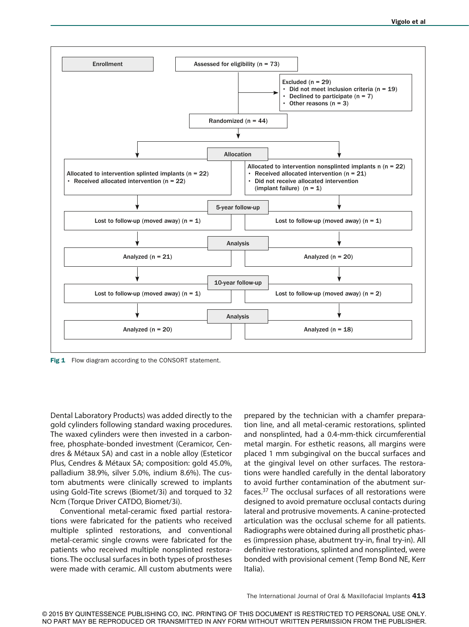

Fig 1 Flow diagram according to the CONSORT statement.

Dental Laboratory Products) was added directly to the gold cylinders following standard waxing procedures. The waxed cylinders were then invested in a carbonfree, phosphate-bonded investment (Ceramicor, Cendres & Métaux SA) and cast in a noble alloy (Esteticor Plus, Cendres & Métaux SA; composition: gold 45.0%, palladium 38.9%, silver 5.0%, indium 8.6%). The custom abutments were clinically screwed to implants using Gold-Tite screws (Biomet/3i) and torqued to 32 Ncm (Torque Driver CATDO, Biomet/3i).

Conventional metal-ceramic fixed partial restorations were fabricated for the patients who received multiple splinted restorations, and conventional metal-ceramic single crowns were fabricated for the patients who received multiple nonsplinted restorations. The occlusal surfaces in both types of prostheses were made with ceramic. All custom abutments were prepared by the technician with a chamfer preparation line, and all metal-ceramic restorations, splinted and nonsplinted, had a 0.4-mm-thick circumferential metal margin. For esthetic reasons, all margins were placed 1 mm subgingival on the buccal surfaces and at the gingival level on other surfaces. The restorations were handled carefully in the dental laboratory to avoid further contamination of the abutment surfaces.37 The occlusal surfaces of all restorations were designed to avoid premature occlusal contacts during lateral and protrusive movements. A canine-protected articulation was the occlusal scheme for all patients. Radiographs were obtained during all prosthetic phases (impression phase, abutment try-in, final try-in). All definitive restorations, splinted and nonsplinted, were bonded with provisional cement (Temp Bond NE, Kerr Italia).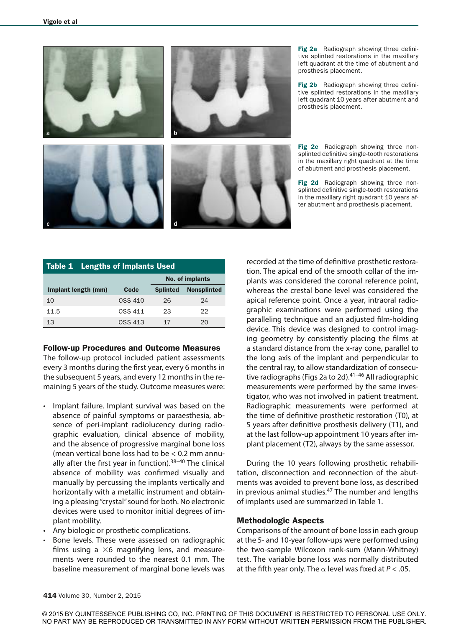

Fig 2a Radiograph showing three definitive splinted restorations in the maxillary left quadrant at the time of abutment and prosthesis placement.

Fig 2b Radiograph showing three definitive splinted restorations in the maxillary left quadrant 10 years after abutment and prosthesis placement.

Fig 2c Radiograph showing three nonsplinted definitive single-tooth restorations in the maxillary right quadrant at the time of abutment and prosthesis placement.

Fig 2d Radiograph showing three nonsplinted definitive single-tooth restorations in the maxillary right quadrant 10 years after abutment and prosthesis placement.

| <b>Table 1 Lengths of Implants Used</b> |         |                        |                    |  |
|-----------------------------------------|---------|------------------------|--------------------|--|
|                                         |         | <b>No. of implants</b> |                    |  |
| Implant length (mm)                     | Code    | <b>Splinted</b>        | <b>Nonsplinted</b> |  |
| 10                                      | OSS 410 | 26                     | 24                 |  |
| 11.5                                    | OSS 411 | 23                     | 22                 |  |
| 13                                      | OSS 413 | 17                     | 20                 |  |

#### Follow-up Procedures and Outcome Measures

The follow-up protocol included patient assessments every 3 months during the first year, every 6 months in the subsequent 5 years, and every 12 months in the remaining 5 years of the study. Outcome measures were:

- Implant failure. Implant survival was based on the absence of painful symptoms or paraesthesia, absence of peri-implant radiolucency during radiographic evaluation, clinical absence of mobility, and the absence of progressive marginal bone loss (mean vertical bone loss had to be < 0.2 mm annually after the first year in function). $38-40$  The clinical absence of mobility was confirmed visually and manually by percussing the implants vertically and horizontally with a metallic instrument and obtaining a pleasing "crystal" sound for both. No electronic devices were used to monitor initial degrees of implant mobility.
- Any biologic or prosthetic complications.
- Bone levels. These were assessed on radiographic films using a  $\times$ 6 magnifying lens, and measurements were rounded to the nearest 0.1 mm. The baseline measurement of marginal bone levels was

recorded at the time of definitive prosthetic restoration. The apical end of the smooth collar of the implants was considered the coronal reference point, whereas the crestal bone level was considered the apical reference point. Once a year, intraoral radiographic examinations were performed using the paralleling technique and an adjusted film-holding device. This device was designed to control imaging geometry by consistently placing the films at a standard distance from the x-ray cone, parallel to the long axis of the implant and perpendicular to the central ray, to allow standardization of consecutive radiographs (Figs 2a to 2d).<sup>41-46</sup> All radiographic measurements were performed by the same investigator, who was not involved in patient treatment. Radiographic measurements were performed at the time of definitive prosthetic restoration (T0), at 5 years after definitive prosthesis delivery (T1), and at the last follow-up appointment 10 years after implant placement (T2), always by the same assessor.

During the 10 years following prosthetic rehabilitation, disconnection and reconnection of the abutments was avoided to prevent bone loss, as described in previous animal studies.<sup>47</sup> The number and lengths of implants used are summarized in Table 1.

#### Methodologic Aspects

Comparisons of the amount of bone loss in each group at the 5- and 10-year follow-ups were performed using the two-sample Wilcoxon rank-sum (Mann-Whitney) test. The variable bone loss was normally distributed at the fifth year only. The  $\alpha$  level was fixed at  $P < .05$ .

© 2015 BY QUINTESSENCE PUBLISHING CO, INC. PRINTING OF THIS DOCUMENT IS RESTRICTED TO PERSONAL USE ONLY. NO PART MAY BE REPRODUCED OR TRANSMITTED IN ANY FORM WITHOUT WRITTEN PERMISSION FROM THE PUBLISHER.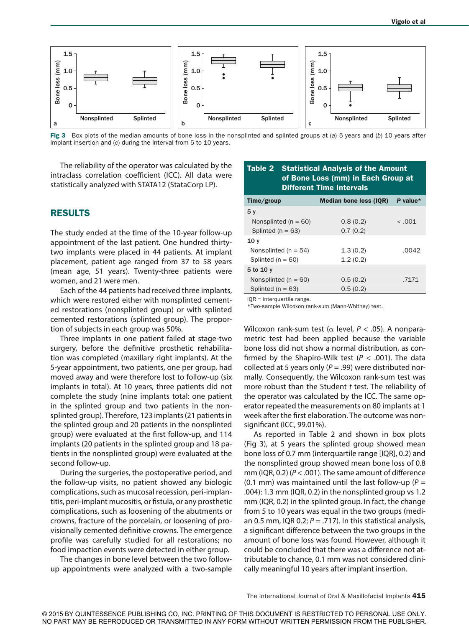

Fig 3 Box plots of the median amounts of bone loss in the nonsplinted and splinted groups at (*a*) 5 years and (*b*) 10 years after implant insertion and (*c*) during the interval from 5 to 10 years.

The reliability of the operator was calculated by the intraclass correlation coefficient (ICC). All data were statistically analyzed with STATA12 (StataCorp LP).

## RESULTS

The study ended at the time of the 10-year follow-up appointment of the last patient. One hundred thirtytwo implants were placed in 44 patients. At implant placement, patient age ranged from 37 to 58 years (mean age, 51 years). Twenty-three patients were women, and 21 were men.

Each of the 44 patients had received three implants, which were restored either with nonsplinted cemented restorations (nonsplinted group) or with splinted cemented restorations (splinted group). The proportion of subjects in each group was 50%.

Three implants in one patient failed at stage-two surgery, before the definitive prosthetic rehabilitation was completed (maxillary right implants). At the 5-year appointment, two patients, one per group, had moved away and were therefore lost to follow-up (six implants in total). At 10 years, three patients did not complete the study (nine implants total: one patient in the splinted group and two patients in the nonsplinted group). Therefore, 123 implants (21 patients in the splinted group and 20 patients in the nonsplinted group) were evaluated at the first follow-up, and 114 implants (20 patients in the splinted group and 18 patients in the nonsplinted group) were evaluated at the second follow-up.

During the surgeries, the postoperative period, and the follow-up visits, no patient showed any biologic complications, such as mucosal recession, peri-implantitis, peri-implant mucositis, or fistula, or any prosthetic complications, such as loosening of the abutments or crowns, fracture of the porcelain, or loosening of provisionally cemented definitive crowns. The emergence profile was carefully studied for all restorations; no food impaction events were detected in either group.

The changes in bone level between the two followup appointments were analyzed with a two-sample

#### Table 2 Statistical Analysis of the Amount of Bone Loss (mm) in Each Group at Different Time Intervals

| Time/group               | <b>Median bone loss (IQR)</b> | $P$ value* |
|--------------------------|-------------------------------|------------|
| 5 v                      |                               |            |
| Nonsplinted ( $n = 60$ ) | 0.8(0.2)                      | < .001     |
| Splinted ( $n = 63$ )    | 0.7(0.2)                      |            |
| 10 v                     |                               |            |
| Nonsplinted ( $n = 54$ ) | 1.3(0.2)                      | .0042      |
| Splinted ( $n = 60$ )    | 1.2(0.2)                      |            |
| 5 to 10 y                |                               |            |
| Nonsplinted ( $n = 60$ ) | 0.5(0.2)                      | .7171      |
| Splinted ( $n = 63$ )    | 0.5(0.2)                      |            |
|                          |                               |            |

IQR = interquartile range.

\*Two-sample Wilcoxon rank-sum (Mann-Whitney) test.

Wilcoxon rank-sum test (α level, *P* < .05). A nonparametric test had been applied because the variable bone loss did not show a normal distribution, as confirmed by the Shapiro-Wilk test ( $P < .001$ ). The data collected at 5 years only  $(P = .99)$  were distributed normally. Consequently, the Wilcoxon rank-sum test was more robust than the Student *t* test. The reliability of the operator was calculated by the ICC. The same operator repeated the measurements on 80 implants at 1 week after the first elaboration. The outcome was nonsignificant (ICC, 99.01%).

As reported in Table 2 and shown in box plots (Fig 3), at 5 years the splinted group showed mean bone loss of 0.7 mm (interquartile range [IQR], 0.2) and the nonsplinted group showed mean bone loss of 0.8 mm (IQR, 0.2) (*P* < .001). The same amount of difference (0.1 mm) was maintained until the last follow-up ( $P =$ .004): 1.3 mm (IQR, 0.2) in the nonsplinted group vs 1.2 mm (IQR, 0.2) in the splinted group. In fact, the change from 5 to 10 years was equal in the two groups (median 0.5 mm, IQR 0.2;  $P = .717$ ). In this statistical analysis, a significant difference between the two groups in the amount of bone loss was found. However, although it could be concluded that there was a difference not attributable to chance, 0.1 mm was not considered clinically meaningful 10 years after implant insertion.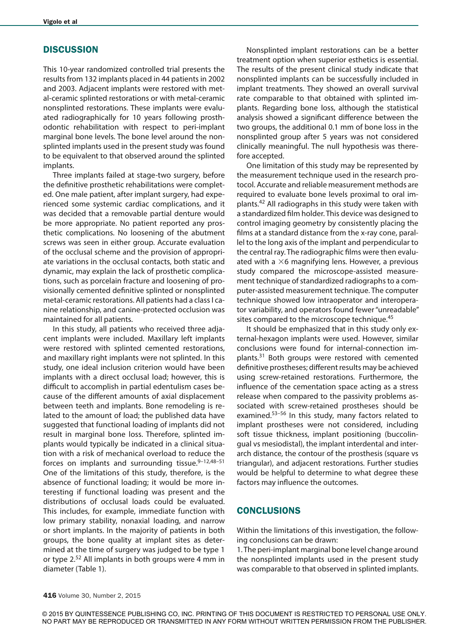#### **DISCUSSION**

This 10-year randomized controlled trial presents the results from 132 implants placed in 44 patients in 2002 and 2003. Adjacent implants were restored with metal-ceramic splinted restorations or with metal-ceramic nonsplinted restorations. These implants were evaluated radiographically for 10 years following prosthodontic rehabilitation with respect to peri-implant marginal bone levels. The bone level around the nonsplinted implants used in the present study was found to be equivalent to that observed around the splinted implants.

Three implants failed at stage-two surgery, before the definitive prosthetic rehabilitations were completed. One male patient, after implant surgery, had experienced some systemic cardiac complications, and it was decided that a removable partial denture would be more appropriate. No patient reported any prosthetic complications. No loosening of the abutment screws was seen in either group. Accurate evaluation of the occlusal scheme and the provision of appropriate variations in the occlusal contacts, both static and dynamic, may explain the lack of prosthetic complications, such as porcelain fracture and loosening of provisionally cemented definitive splinted or nonsplinted metal-ceramic restorations. All patients had a class I canine relationship, and canine-protected occlusion was maintained for all patients.

In this study, all patients who received three adjacent implants were included. Maxillary left implants were restored with splinted cemented restorations, and maxillary right implants were not splinted. In this study, one ideal inclusion criterion would have been implants with a direct occlusal load; however, this is difficult to accomplish in partial edentulism cases because of the different amounts of axial displacement between teeth and implants. Bone remodeling is related to the amount of load; the published data have suggested that functional loading of implants did not result in marginal bone loss. Therefore, splinted implants would typically be indicated in a clinical situation with a risk of mechanical overload to reduce the forces on implants and surrounding tissue.<sup>9-12,48-51</sup> One of the limitations of this study, therefore, is the absence of functional loading; it would be more interesting if functional loading was present and the distributions of occlusal loads could be evaluated. This includes, for example, immediate function with low primary stability, nonaxial loading, and narrow or short implants. In the majority of patients in both groups, the bone quality at implant sites as determined at the time of surgery was judged to be type 1 or type 2.52 All implants in both groups were 4 mm in diameter (Table 1).

Nonsplinted implant restorations can be a better treatment option when superior esthetics is essential. The results of the present clinical study indicate that nonsplinted implants can be successfully included in implant treatments. They showed an overall survival rate comparable to that obtained with splinted implants. Regarding bone loss, although the statistical analysis showed a significant difference between the two groups, the additional 0.1 mm of bone loss in the nonsplinted group after 5 years was not considered clinically meaningful. The null hypothesis was therefore accepted.

One limitation of this study may be represented by the measurement technique used in the research protocol. Accurate and reliable measurement methods are required to evaluate bone levels proximal to oral implants.42 All radiographs in this study were taken with a standardized film holder. This device was designed to control imaging geometry by consistently placing the films at a standard distance from the x-ray cone, parallel to the long axis of the implant and perpendicular to the central ray. The radiographic films were then evaluated with a  $\times$ 6 magnifying lens. However, a previous study compared the microscope-assisted measurement technique of standardized radiographs to a computer-assisted measurement technique. The computer technique showed low intraoperator and interoperator variability, and operators found fewer "unreadable" sites compared to the microscope technique.<sup>45</sup>

It should be emphasized that in this study only external-hexagon implants were used. However, similar conclusions were found for internal-connection implants.<sup>31</sup> Both groups were restored with cemented definitive prostheses; different results may be achieved using screw-retained restorations. Furthermore, the influence of the cementation space acting as a stress release when compared to the passivity problems associated with screw-retained prostheses should be examined.<sup>53-56</sup> In this study, many factors related to implant prostheses were not considered, including soft tissue thickness, implant positioning (buccolingual vs mesiodistal), the implant interdental and interarch distance, the contour of the prosthesis (square vs triangular), and adjacent restorations. Further studies would be helpful to determine to what degree these factors may influence the outcomes.

## CONCLUSIONS

Within the limitations of this investigation, the following conclusions can be drawn:

1. The peri-implant marginal bone level change around the nonsplinted implants used in the present study was comparable to that observed in splinted implants.

© 2015 BY QUINTESSENCE PUBLISHING CO, INC. PRINTING OF THIS DOCUMENT IS RESTRICTED TO PERSONAL USE ONLY. NO PART MAY BE REPRODUCED OR TRANSMITTED IN ANY FORM WITHOUT WRITTEN PERMISSION FROM THE PUBLISHER.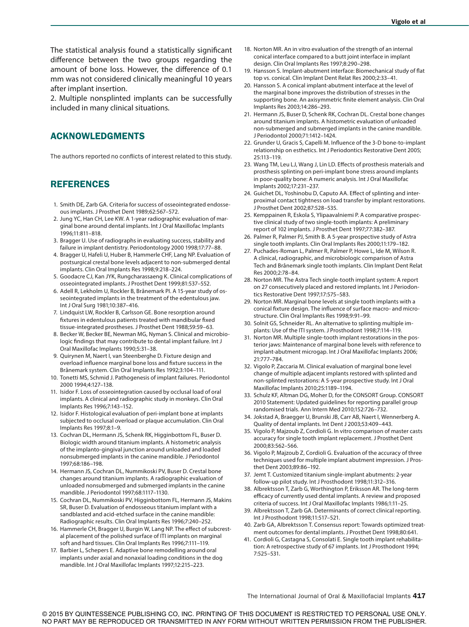The statistical analysis found a statistically significant difference between the two groups regarding the amount of bone loss. However, the difference of 0.1 mm was not considered clinically meaningful 10 years after implant insertion.

2. Multiple nonsplinted implants can be successfully included in many clinical situations.

## ACKNOWLEDGMENTS

The authors reported no conflicts of interest related to this study.

## REFERENCES

- 1. Smith DE, Zarb GA. Criteria for success of osseointegrated endosseous implants. J Prosthet Dent 1989;62:567–572.
- 2. Jung YC, Han CH, Lee KW. A 1-year radiographic evaluation of marginal bone around dental implants. Int J Oral Maxillofac Implants 1996;11:811–818.
- 3. Bragger U. Use of radiographs in evaluating success, stability and failure in implant dentistry. Periodontology 2000 1998;17:77–88.
- 4. Bragger U, Hafeli U, Huber B, Hammerle CHF, Lang NP. Evaluation of postsurgical crestal bone levels adjacent to non-submerged dental implants. Clin Oral Implants Res 1998;9:218–224.
- 5. Goodacre CJ, Kan JYK, Rungcharassaeng K. Clinical complications of osseointegrated implants. J Prosthet Dent 1999;81:537–552.
- 6. Adell R, Lekholm U, Rockler B, Brånemark PI. A 15-year study of osseointegrated implants in the treatment of the edentulous jaw. Int J Oral Surg 1981;10:387–416.
- 7. Lindquist LW, Rockler B, Carlsson GE. Bone resorption around fixtures in edentulous patients treated with mandibular fixed tissue-integrated prostheses. J Prosthet Dent 1988;59:59–63.
- 8. Becker W, Becker BE, Newman MG, Nyman S. Clinical and microbiologic findings that may contribute to dental implant failure. Int J Oral Maxillofac Implants 1990;5:31–38.
- 9. Quirynen M, Naert I, van Steenberghe D. Fixture design and overload influence marginal bone loss and fixture success in the Brånemark system. Clin Oral Implants Res 1992;3:104–111.
- 10. Tonetti MS, Schmid J. Pathogenesis of implant failures. Periodontol 2000 1994;4:127–138.
- 11. Isidor F. Loss of osseointegration caused by occlusal load of oral implants. A clinical and radiographic study in monkeys. Clin Oral Implants Res 1996;7:143–152.
- 12. Isidor F. Histological evaluation of peri-implant bone at implants subjected to occlusal overload or plaque accumulation. Clin Oral Implants Res 1997;8:1–9.
- 13. Cochran DL, Hermann JS, Schenk RK, Higginbottom FL, Buser D. Biologic width around titanium implants. A histometric analysis of the implanto-gingival junction around unloaded and loaded nonsubmerged implants in the canine mandible. J Periodontol 1997;68:186–198.
- 14. Hermann JS, Cochran DL, Nummikoski PV, Buser D. Crestal bone changes around titanium implants. A radiographic evaluation of unloaded nonsubmerged and submerged implants in the canine mandible. J Periodontol 1997;68:1117–1130.
- 15. Cochran DL, Nummikoski PV, Higginbottom FL, Hermann JS, Makins SR, Buser D. Evaluation of endosseous titanium implant with a sandblasted and acid-etched surface in the canine mandible: Radiographic results. Clin Oral Implants Res 1996;7:240–252.
- 16. Hammerle CH, Bragger U, Burgin W, Lang NP. The effect of subcrestal placement of the polished surface of ITI implants on marginal soft and hard tissues. Clin Oral Implants Res 1996;7:111–119.
- 17. Barbier L, Schepers E. Adaptive bone remodelling around oral implants under axial and nonaxial loading conditions in the dog mandible. Int J Oral Maxillofac Implants 1997;12:215–223.
- 18. Norton MR. An in vitro evaluation of the strength of an internal conical interface compared to a butt joint interface in implant design. Clin Oral Implants Res 1997;8:290–298.
- 19. Hansson S. Implant-abutment interface: Biomechanical study of flat top vs. conical. Clin Implant Dent Relat Res 2000;2:33–41.
- 20. Hansson S. A conical implant-abutment interface at the level of the marginal bone improves the distribution of stresses in the supporting bone. An axisymmetric finite element analysis. Clin Oral Implants Res 2003;14:286–293.
- 21. Hermann JS, Buser D, Schenk RK, Cochran DL. Crestal bone changes around titanium implants. A histometric evaluation of unloaded non-submerged and submerged implants in the canine mandible. J Periodontol 2000;71:1412–1424.
- 22. Grunder U, Gracis S, Capelli M. Influence of the 3-D bone-to-implant relationship on esthetics. Int J Periodontics Restorative Dent 2005; 25:113–119.
- 23. Wang TM, Leu LJ, Wang J, Lin LD. Effects of prosthesis materials and prosthesis splinting on peri-implant bone stress around implants in poor-quality bone: A numeric analysis. Int J Oral Maxillofac Implants 2002;17:231–237.
- 24. Guichet DL, Yoshinobu D, Caputo AA. Effect of splinting and interproximal contact tightness on load transfer by implant restorations. J Prosthet Dent 2002;87:528–535.
- 25. Kemppainen R, Eskola S, Ylipaavalniemi P. A comparative prospective clinical study of two single-tooth implants: A preliminary report of 102 implants. J Prosthet Dent 1997;77:382–387.
- 26. Palmer R, Palmer PJ, Smith B. A 5-year prospective study of Astra single tooth implants. Clin Oral Implants Res 2000;11:179–182.
- 27. Puchades-Roman L, Palmer R, Palmer P, Howe L, Ide M, Wilson R. A clinical, radiographic, and microbiologic comparison of Astra Tech and Brånemark single tooth implants. Clin Implant Dent Relat Res 2000;2:78–84.
- 28. Norton MR. The Astra Tech single-tooth implant system: A report on 27 consecutively placed and restored implants. Int J Periodontics Restorative Dent 1997;17:575–583.
- 29. Norton MR. Marginal bone levels at single tooth implants with a conical fixture design. The influence of surface macro- and microstructure. Clin Oral Implants Res 1998;9:91–99.
- 30. Solnit GS, Schneider RL. An alternative to splinting multiple implants: Use of the ITI system. J Prosthodont 1998;7:114–119.
- 31. Norton MR. Multiple single-tooth implant restorations in the posterior jaws: Maintenance of marginal bone levels with reference to implant-abutment microgap. Int J Oral Maxillofac Implants 2006; 21:777–784.
- 32. Vigolo P, Zaccaria M. Clinical evaluation of marginal bone level change of multiple adjacent implants restored with splinted and non-splinted restorations: A 5-year prospective study. Int J Oral Maxillofac Implants 2010;25:1189–1194.
- 33. Schulz KF, Altman DG, Moher D, for the CONSORT Group. CONSORT 2010 Statement: Updated guidelines for reporting parallel group randomised trials. Ann Intern Med 2010;152:726–732.
- 34. Jokstad A, Braegger U, Brunski JB, Carr AB, Naert I, Wennerberg A. Quality of dental implants. Int Dent J 2003;53:409–443.
- 35. Vigolo P, Majzoub Z, Cordioli G. In vitro comparison of master casts accuracy for single tooth implant replacement. J Prosthet Dent 2000;83:562–566.
- 36. Vigolo P, Majzoub Z, Cordioli G. Evaluation of the accuracy of three techniques used for multiple implant abutment impression. J Prosthet Dent 2003;89:86–192.
- 37. Jemt T. Customized titanium single-implant abutments: 2-year follow-up pilot study. Int J Prosthodont 1998;11:312–316.
- 38. Albrektsson T, Zarb G, Worthington P, Eriksson AR. The long-term efficacy of currently used dental implants. A review and proposed criteria of success. Int J Oral Maxillofac Implants 1986;1:11–25.
- 39. Albrektsson T, Zarb GA. Determinants of correct clinical reporting. Int J Prosthodont 1998;11:517–521.
- 40. Zarb GA, Albrektsson T. Consensus report: Towards optimized treatment outcomes for dental implants. J Prosthet Dent 1998;80:641.
- 41. Cordioli G, Castagna S, Consolati E. Single tooth implant rehabilitation: A retrospective study of 67 implants. Int J Prosthodont 1994; 7:525–531.

The International Journal of Oral & Maxillofacial Implants 417